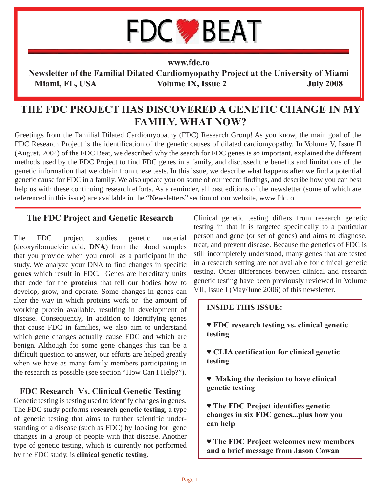# **FDC BEAT**

#### **www.fdc.to**

**Newsletter of the Familial Dilated Cardiomyopathy Project at the University of Miami Miami, FL, USA Volume IX, Issue 2 July 2008**

# **THE FDC PROJECT HAS DISCOVERED A GENETIC CHANGE IN MY FAMILY. WHAT NOW?**

Greetings from the Familial Dilated Cardiomyopathy (FDC) Research Group! As you know, the main goal of the FDC Research Project is the identification of the genetic causes of dilated cardiomyopathy. In Volume V, Issue II (August, 2004) of the FDC Beat, we described why the search for FDC genes is so important, explained the different methods used by the FDC Project to find FDC genes in a family, and discussed the benefits and limitations of the genetic information that we obtain from these tests. In this issue, we describe what happens after we find a potential genetic cause for FDC in a family. We also update you on some of our recent findings, and describe how you can best help us with these continuing research efforts. As a reminder, all past editions of the newsletter (some of which are referenced in this issue) are available in the "Newsletters" section of our website, www.fdc.to.

#### **The FDC Project and Genetic Research**

The FDC project studies genetic material (deoxyribonucleic acid, **DNA**) from the blood samples that you provide when you enroll as a participant in the study. We analyze your DNA to find changes in specific **genes** which result in FDC. Genes are hereditary units that code for the **proteins** that tell our bodies how to develop, grow, and operate. Some changes in genes can alter the way in which proteins work or the amount of working protein available, resulting in development of disease. Consequently, in addition to identifying genes that cause FDC in families, we also aim to understand which gene changes actually cause FDC and which are benign. Although for some gene changes this can be a difficult question to answer, our efforts are helped greatly when we have as many family members participating in the research as possible (see section "How Can I Help?").

## **FDC Research Vs. Clinical Genetic Testing**

Genetic testing is testing used to identify changes in genes. The FDC study performs **research genetic testing**, a type of genetic testing that aims to further scientific understanding of a disease (such as FDC) by looking for gene changes in a group of people with that disease. Another type of genetic testing, which is currently not performed by the FDC study, is **clinical genetic testing.** 

Clinical genetic testing differs from research genetic testing in that it is targeted specifically to a particular person and gene (or set of genes) and aims to diagnose, treat, and prevent disease. Because the genetics of FDC is still incompletely understood, many genes that are tested in a research setting are not available for clinical genetic testing. Other differences between clinical and research genetic testing have been previously reviewed in Volume VII, Issue I (May/June 2006) of this newsletter.

#### **INSIDE THIS ISSUE:**

**♥ FDC research testing vs. clinical genetic testing**

**♥ CLIA certification for clinical genetic testing**

**♥ Making the decision to have clinical genetic testing**

**♥ The FDC Project identifies genetic changes in six FDC genes...plus how you can help**

**♥ The FDC Project welcomes new members and a brief message from Jason Cowan**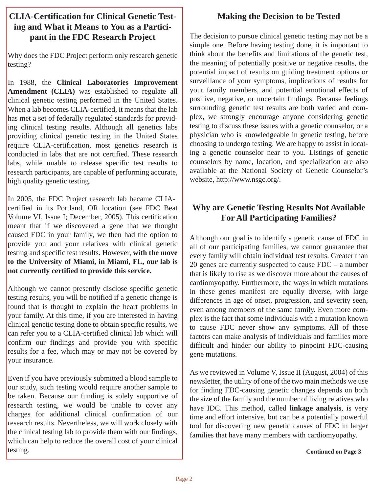## **CLIA-Certification for Clinical Genetic Testing and What it Means to You as a Participant in the FDC Research Project**

Why does the FDC Project perform only research genetic testing?

In 1988, the **Clinical Laboratories Improvement Amendment (CLIA)** was established to regulate all clinical genetic testing performed in the United States. When a lab becomes CLIA-certified, it means that the lab has met a set of federally regulated standards for providing clinical testing results. Although all genetics labs providing clinical genetic testing in the United States require CLIA-certification, most genetics research is conducted in labs that are not certified. These research labs, while unable to release specific test results to research participants, are capable of performing accurate, high quality genetic testing.

In 2005, the FDC Project research lab became CLIAcertified in its Portland, OR location (see FDC Beat Volume VI, Issue I; December, 2005). This certification meant that if we discovered a gene that we thought caused FDC in your family, we then had the option to provide you and your relatives with clinical genetic testing and specific test results. However, **with the move to the University of Miami, in Miami, FL, our lab is not currently certified to provide this service.** 

Although we cannot presently disclose specific genetic testing results, you will be notified if a genetic change is found that is thought to explain the heart problems in your family. At this time, if you are interested in having clinical genetic testing done to obtain specific results, we can refer you to a CLIA-certified clinical lab which will confirm our findings and provide you with specific results for a fee, which may or may not be covered by your insurance.

Even if you have previously submitted a blood sample to our study, such testing would require another sample to be taken. Because our funding is solely supportive of research testing, we would be unable to cover any charges for additional clinical confirmation of our research results. Nevertheless, we will work closely with the clinical testing lab to provide them with our findings, which can help to reduce the overall cost of your clinical testing.

## **Making the Decision to be Tested**

The decision to pursue clinical genetic testing may not be a simple one. Before having testing done, it is important to think about the benefits and limitations of the genetic test, the meaning of potentially positive or negative results, the potential impact of results on guiding treatment options or surveillance of your symptoms, implications of results for your family members, and potential emotional effects of positive, negative, or uncertain findings. Because feelings surrounding genetic test results are both varied and complex, we strongly encourage anyone considering genetic testing to discuss these issues with a genetic counselor, or a physician who is knowledgeable in genetic testing, before choosing to undergo testing. We are happy to assist in locating a genetic counselor near to you. Listings of genetic counselors by name, location, and specialization are also available at the National Society of Genetic Counselor's website, http://www.nsgc.org/.

## **Why are Genetic Testing Results Not Available For All Participating Families?**

Although our goal is to identify a genetic cause of FDC in all of our participating families, we cannot guarantee that every family will obtain individual test results. Greater than 20 genes are currently suspected to cause FDC – a number that is likely to rise as we discover more about the causes of cardiomyopathy. Furthermore, the ways in which mutations in these genes manifest are equally diverse, with large differences in age of onset, progression, and severity seen, even among members of the same family. Even more complex is the fact that some individuals with a mutation known to cause FDC never show any symptoms. All of these factors can make analysis of individuals and families more difficult and hinder our ability to pinpoint FDC-causing gene mutations.

As we reviewed in Volume V, Issue II (August, 2004) of this newsletter, the utility of one of the two main methods we use for finding FDC-causing genetic changes depends on both the size of the family and the number of living relatives who have IDC. This method, called **linkage analysis**, is very time and effort intensive, but can be a potentially powerful tool for discovering new genetic causes of FDC in larger families that have many members with cardiomyopathy.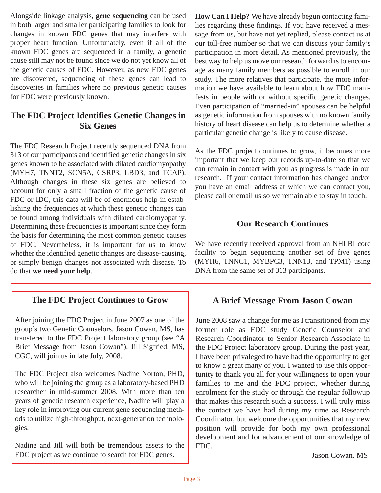Alongside linkage analysis, **gene sequencing** can be used in both larger and smaller participating families to look for changes in known FDC genes that may interfere with proper heart function. Unfortunately, even if all of the known FDC genes are sequenced in a family, a genetic cause still may not be found since we do not yet know all of the genetic causes of FDC. However, as new FDC genes are discovered, sequencing of these genes can lead to discoveries in families where no previous genetic causes for FDC were previously known.

## **The FDC Project Identifies Genetic Changes in Six Genes**

The FDC Research Project recently sequenced DNA from 313 of our participants and identified genetic changes in six genes known to be associated with dilated cardiomyopathy (MYH7, TNNT2, SCN5A, CSRP3, LBD3, and TCAP). Although changes in these six genes are believed to account for only a small fraction of the genetic cause of FDC or IDC, this data will be of enormous help in establishing the frequencies at which these genetic changes can be found among individuals with dilated cardiomyopathy. Determining these frequencies is important since they form the basis for determining the most common genetic causes of FDC. Nevertheless, it is important for us to know whether the identified genetic changes are disease-causing, or simply benign changes not associated with disease. To do that **we need your help**.

## **The FDC Project Continues to Grow**

After joining the FDC Project in June 2007 as one of the group's two Genetic Counselors, Jason Cowan, MS, has transfered to the FDC Project laboratory group (see "A Brief Message from Jason Cowan"). Jill Sigfried, MS, CGC, will join us in late July, 2008.

The FDC Project also welcomes Nadine Norton, PHD, who will be joining the group as a laboratory-based PHD researcher in mid-summer 2008. With more than ten years of genetic research experience, Nadine will play a key role in improving our current gene sequencing methods to utilize high-throughput, next-generation technologies.

Nadine and Jill will both be tremendous assets to the FDC project as we continue to search for FDC genes.

**How Can I Help?** We have already begun contacting families regarding these findings. If you have received a message from us, but have not yet replied, please contact us at our toll-free number so that we can discuss your family's participation in more detail. As mentioned previously, the best way to help us move our research forward is to encourage as many family members as possible to enroll in our study. The more relatives that participate, the more information we have available to learn about how FDC manifests in people with or without specific genetic changes. Even participation of "married-in" spouses can be helpful as genetic information from spouses with no known family history of heart disease can help us to determine whether a particular genetic change is likely to cause disease**.**

As the FDC project continues to grow, it becomes more important that we keep our records up-to-date so that we can remain in contact with you as progress is made in our research. If your contact information has changed and/or you have an email address at which we can contact you, please call or email us so we remain able to stay in touch.

#### **Our Research Continues**

We have recently received approval from an NHLBI core facility to begin sequencing another set of five genes (MYH6, TNNC1, MYBPC3, TNN13, and TPM1) using DNA from the same set of 313 participants.

#### **A Brief Message From Jason Cowan**

June 2008 saw a change for me as I transitioned from my former role as FDC study Genetic Counselor and Research Coordinator to Senior Research Associate in the FDC Project laboratory group. During the past year, I have been privaleged to have had the opportunity to get to know a great many of you. I wanted to use this opportunity to thank you all for your willingness to open your families to me and the FDC project, whether during enrolment for the study or through the regular followup that makes this research such a success. I will truly miss the contact we have had during my time as Research Coordinator, but welcome the opportunities that my new position will provide for both my own professional development and for advancement of our knowledge of FDC.

Jason Cowan, MS